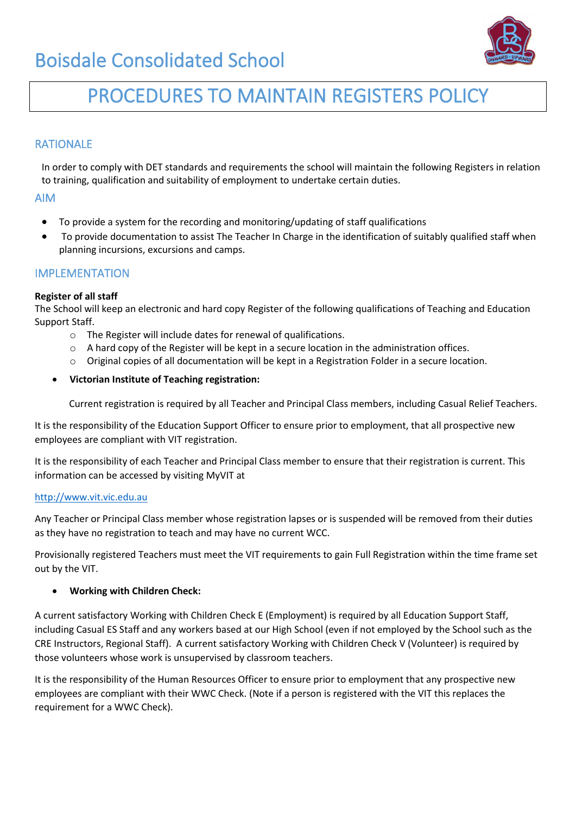# Boisdale Consolidated School



# PROCEDURES TO MAINTAIN REGISTERS POLICY

## RATIONALE

In order to comply with DET standards and requirements the school will maintain the following Registers in relation to training, qualification and suitability of employment to undertake certain duties.

### AIM

- To provide a system for the recording and monitoring/updating of staff qualifications
- To provide documentation to assist The Teacher In Charge in the identification of suitably qualified staff when planning incursions, excursions and camps.

## IMPLEMENTATION

#### **Register of all staff**

The School will keep an electronic and hard copy Register of the following qualifications of Teaching and Education Support Staff.

- o The Register will include dates for renewal of qualifications.
- $\circ$  A hard copy of the Register will be kept in a secure location in the administration offices.
- o Original copies of all documentation will be kept in a Registration Folder in a secure location.

#### • **Victorian Institute of Teaching registration:**

Current registration is required by all Teacher and Principal Class members, including Casual Relief Teachers.

It is the responsibility of the Education Support Officer to ensure prior to employment, that all prospective new employees are compliant with VIT registration.

It is the responsibility of each Teacher and Principal Class member to ensure that their registration is current. This information can be accessed by visiting MyVIT at

#### [http://www.vit.vic.edu.au](http://www.vit.vic.edu.au/)

Any Teacher or Principal Class member whose registration lapses or is suspended will be removed from their duties as they have no registration to teach and may have no current WCC.

Provisionally registered Teachers must meet the VIT requirements to gain Full Registration within the time frame set out by the VIT.

#### • **Working with Children Check:**

A current satisfactory Working with Children Check E (Employment) is required by all Education Support Staff, including Casual ES Staff and any workers based at our High School (even if not employed by the School such as the CRE Instructors, Regional Staff). A current satisfactory Working with Children Check V (Volunteer) is required by those volunteers whose work is unsupervised by classroom teachers.

It is the responsibility of the Human Resources Officer to ensure prior to employment that any prospective new employees are compliant with their WWC Check. (Note if a person is registered with the VIT this replaces the requirement for a WWC Check).